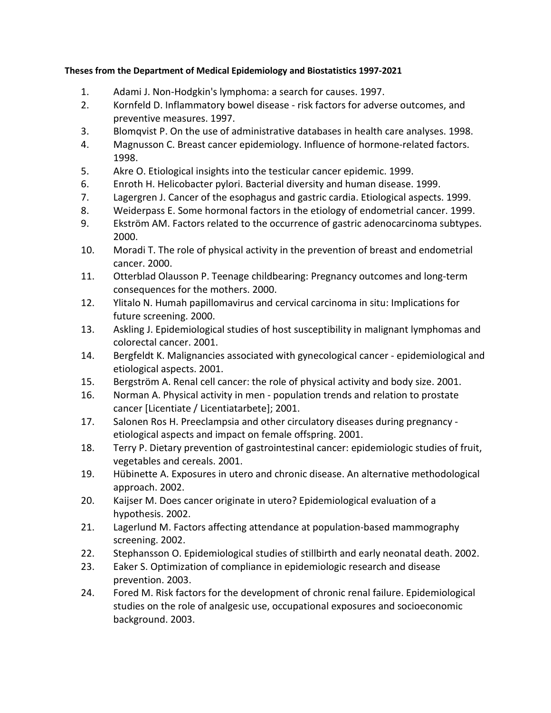## **Theses from the Department of Medical Epidemiology and Biostatistics 1997-2021**

- 1. Adami J. Non-Hodgkin's lymphoma: a search for causes. 1997.
- 2. Kornfeld D. Inflammatory bowel disease risk factors for adverse outcomes, and preventive measures. 1997.
- 3. Blomqvist P. On the use of administrative databases in health care analyses. 1998.
- 4. Magnusson C. Breast cancer epidemiology. Influence of hormone-related factors. 1998.
- 5. Akre O. Etiological insights into the testicular cancer epidemic. 1999.
- 6. Enroth H. Helicobacter pylori. Bacterial diversity and human disease. 1999.
- 7. Lagergren J. Cancer of the esophagus and gastric cardia. Etiological aspects. 1999.
- 8. Weiderpass E. Some hormonal factors in the etiology of endometrial cancer. 1999.
- 9. Ekström AM. Factors related to the occurrence of gastric adenocarcinoma subtypes. 2000.
- 10. Moradi T. The role of physical activity in the prevention of breast and endometrial cancer. 2000.
- 11. Otterblad Olausson P. Teenage childbearing: Pregnancy outcomes and long-term consequences for the mothers. 2000.
- 12. Ylitalo N. Humah papillomavirus and cervical carcinoma in situ: Implications for future screening. 2000.
- 13. Askling J. Epidemiological studies of host susceptibility in malignant lymphomas and colorectal cancer. 2001.
- 14. Bergfeldt K. Malignancies associated with gynecological cancer epidemiological and etiological aspects. 2001.
- 15. Bergström A. Renal cell cancer: the role of physical activity and body size. 2001.
- 16. Norman A. Physical activity in men population trends and relation to prostate cancer [Licentiate / Licentiatarbete]; 2001.
- 17. Salonen Ros H. Preeclampsia and other circulatory diseases during pregnancy etiological aspects and impact on female offspring. 2001.
- 18. Terry P. Dietary prevention of gastrointestinal cancer: epidemiologic studies of fruit, vegetables and cereals. 2001.
- 19. Hübinette A. Exposures in utero and chronic disease. An alternative methodological approach. 2002.
- 20. Kaijser M. Does cancer originate in utero? Epidemiological evaluation of a hypothesis. 2002.
- 21. Lagerlund M. Factors affecting attendance at population-based mammography screening. 2002.
- 22. Stephansson O. Epidemiological studies of stillbirth and early neonatal death. 2002.
- 23. Eaker S. Optimization of compliance in epidemiologic research and disease prevention. 2003.
- 24. Fored M. Risk factors for the development of chronic renal failure. Epidemiological studies on the role of analgesic use, occupational exposures and socioeconomic background. 2003.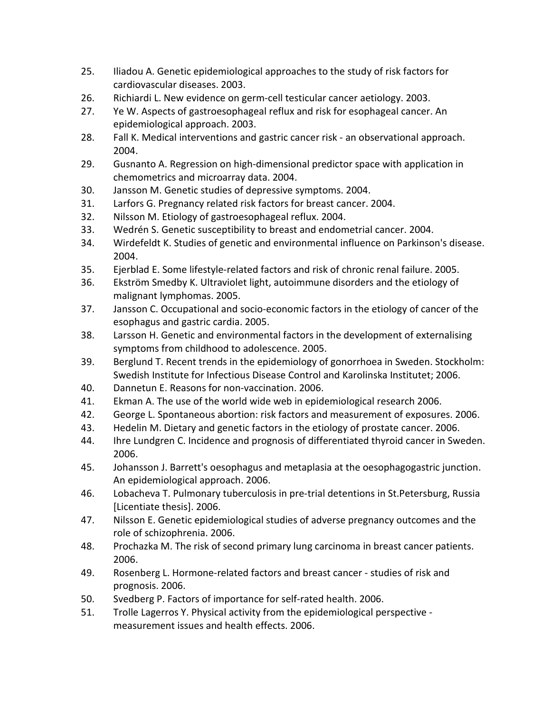- 25. Iliadou A. Genetic epidemiological approaches to the study of risk factors for cardiovascular diseases. 2003.
- 26. Richiardi L. New evidence on germ-cell testicular cancer aetiology. 2003.
- 27. Ye W. Aspects of gastroesophageal reflux and risk for esophageal cancer. An epidemiological approach. 2003.
- 28. Fall K. Medical interventions and gastric cancer risk an observational approach. 2004.
- 29. Gusnanto A. Regression on high-dimensional predictor space with application in chemometrics and microarray data. 2004.
- 30. Jansson M. Genetic studies of depressive symptoms. 2004.
- 31. Larfors G. Pregnancy related risk factors for breast cancer. 2004.
- 32. Nilsson M. Etiology of gastroesophageal reflux. 2004.
- 33. Wedrén S. Genetic susceptibility to breast and endometrial cancer. 2004.
- 34. Wirdefeldt K. Studies of genetic and environmental influence on Parkinson's disease. 2004.
- 35. Ejerblad E. Some lifestyle-related factors and risk of chronic renal failure. 2005.
- 36. Ekström Smedby K. Ultraviolet light, autoimmune disorders and the etiology of malignant lymphomas. 2005.
- 37. Jansson C. Occupational and socio-economic factors in the etiology of cancer of the esophagus and gastric cardia. 2005.
- 38. Larsson H. Genetic and environmental factors in the development of externalising symptoms from childhood to adolescence. 2005.
- 39. Berglund T. Recent trends in the epidemiology of gonorrhoea in Sweden. Stockholm: Swedish Institute for Infectious Disease Control and Karolinska Institutet; 2006.
- 40. Dannetun E. Reasons for non-vaccination. 2006.
- 41. Ekman A. The use of the world wide web in epidemiological research 2006.
- 42. George L. Spontaneous abortion: risk factors and measurement of exposures. 2006.
- 43. Hedelin M. Dietary and genetic factors in the etiology of prostate cancer. 2006.
- 44. Ihre Lundgren C. Incidence and prognosis of differentiated thyroid cancer in Sweden. 2006.
- 45. Johansson J. Barrett's oesophagus and metaplasia at the oesophagogastric junction. An epidemiological approach. 2006.
- 46. Lobacheva T. Pulmonary tuberculosis in pre-trial detentions in St.Petersburg, Russia [Licentiate thesis]. 2006.
- 47. Nilsson E. Genetic epidemiological studies of adverse pregnancy outcomes and the role of schizophrenia. 2006.
- 48. Prochazka M. The risk of second primary lung carcinoma in breast cancer patients. 2006.
- 49. Rosenberg L. Hormone-related factors and breast cancer studies of risk and prognosis. 2006.
- 50. Svedberg P. Factors of importance for self-rated health. 2006.
- 51. Trolle Lagerros Y. Physical activity from the epidemiological perspective measurement issues and health effects. 2006.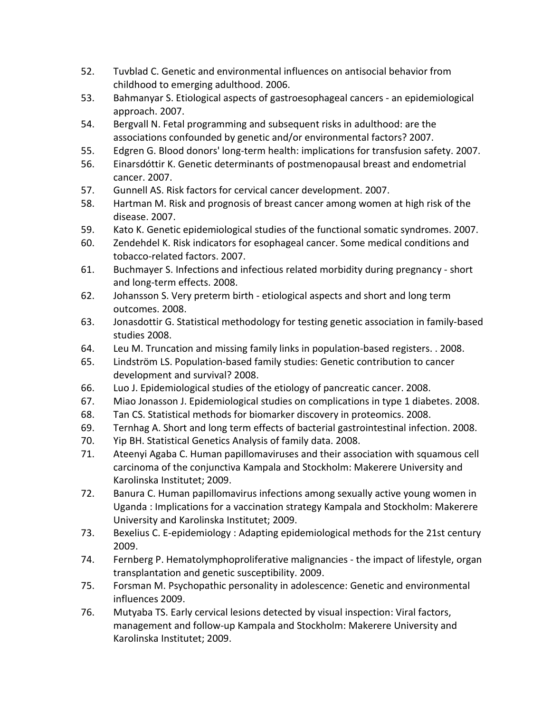- 52. Tuvblad C. Genetic and environmental influences on antisocial behavior from childhood to emerging adulthood. 2006.
- 53. Bahmanyar S. Etiological aspects of gastroesophageal cancers an epidemiological approach. 2007.
- 54. Bergvall N. Fetal programming and subsequent risks in adulthood: are the associations confounded by genetic and/or environmental factors? 2007.
- 55. Edgren G. Blood donors' long-term health: implications for transfusion safety. 2007.
- 56. Einarsdóttir K. Genetic determinants of postmenopausal breast and endometrial cancer. 2007.
- 57. Gunnell AS. Risk factors for cervical cancer development. 2007.
- 58. Hartman M. Risk and prognosis of breast cancer among women at high risk of the disease. 2007.
- 59. Kato K. Genetic epidemiological studies of the functional somatic syndromes. 2007.
- 60. Zendehdel K. Risk indicators for esophageal cancer. Some medical conditions and tobacco-related factors. 2007.
- 61. Buchmayer S. Infections and infectious related morbidity during pregnancy short and long-term effects. 2008.
- 62. Johansson S. Very preterm birth etiological aspects and short and long term outcomes. 2008.
- 63. Jonasdottir G. Statistical methodology for testing genetic association in family-based studies 2008.
- 64. Leu M. Truncation and missing family links in population-based registers. . 2008.
- 65. Lindström LS. Population-based family studies: Genetic contribution to cancer development and survival? 2008.
- 66. Luo J. Epidemiological studies of the etiology of pancreatic cancer. 2008.
- 67. Miao Jonasson J. Epidemiological studies on complications in type 1 diabetes. 2008.
- 68. Tan CS. Statistical methods for biomarker discovery in proteomics. 2008.
- 69. Ternhag A. Short and long term effects of bacterial gastrointestinal infection. 2008.
- 70. Yip BH. Statistical Genetics Analysis of family data. 2008.
- 71. Ateenyi Agaba C. Human papillomaviruses and their association with squamous cell carcinoma of the conjunctiva Kampala and Stockholm: Makerere University and Karolinska Institutet; 2009.
- 72. Banura C. Human papillomavirus infections among sexually active young women in Uganda : Implications for a vaccination strategy Kampala and Stockholm: Makerere University and Karolinska Institutet; 2009.
- 73. Bexelius C. E-epidemiology : Adapting epidemiological methods for the 21st century 2009.
- 74. Fernberg P. Hematolymphoproliferative malignancies the impact of lifestyle, organ transplantation and genetic susceptibility. 2009.
- 75. Forsman M. Psychopathic personality in adolescence: Genetic and environmental influences 2009.
- 76. Mutyaba TS. Early cervical lesions detected by visual inspection: Viral factors, management and follow-up Kampala and Stockholm: Makerere University and Karolinska Institutet; 2009.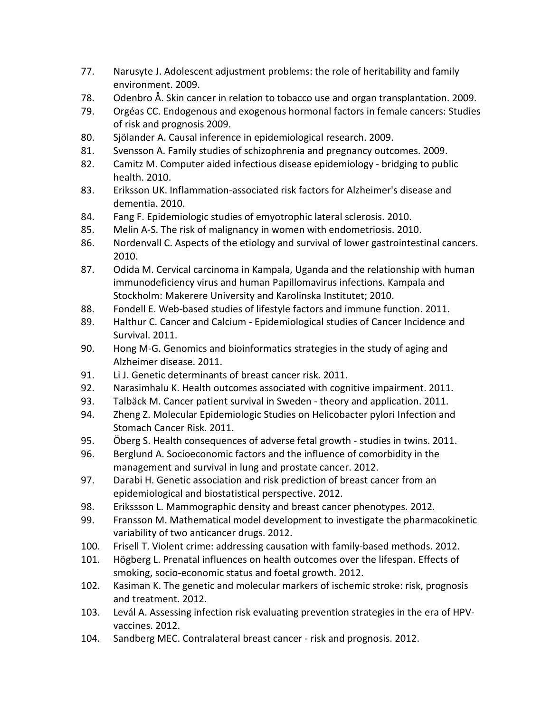- 77. Narusyte J. Adolescent adjustment problems: the role of heritability and family environment. 2009.
- 78. Odenbro Å. Skin cancer in relation to tobacco use and organ transplantation. 2009.
- 79. Orgéas CC. Endogenous and exogenous hormonal factors in female cancers: Studies of risk and prognosis 2009.
- 80. Sjölander A. Causal inference in epidemiological research. 2009.
- 81. Svensson A. Family studies of schizophrenia and pregnancy outcomes. 2009.
- 82. Camitz M. Computer aided infectious disease epidemiology bridging to public health. 2010.
- 83. Eriksson UK. Inflammation-associated risk factors for Alzheimer's disease and dementia. 2010.
- 84. Fang F. Epidemiologic studies of emyotrophic lateral sclerosis. 2010.
- 85. Melin A-S. The risk of malignancy in women with endometriosis. 2010.
- 86. Nordenvall C. Aspects of the etiology and survival of lower gastrointestinal cancers. 2010.
- 87. Odida M. Cervical carcinoma in Kampala, Uganda and the relationship with human immunodeficiency virus and human Papillomavirus infections. Kampala and Stockholm: Makerere University and Karolinska Institutet; 2010.
- 88. Fondell E. Web-based studies of lifestyle factors and immune function. 2011.
- 89. Halthur C. Cancer and Calcium Epidemiological studies of Cancer Incidence and Survival. 2011.
- 90. Hong M-G. Genomics and bioinformatics strategies in the study of aging and Alzheimer disease. 2011.
- 91. Li J. Genetic determinants of breast cancer risk. 2011.
- 92. Narasimhalu K. Health outcomes associated with cognitive impairment. 2011.
- 93. Talbäck M. Cancer patient survival in Sweden theory and application. 2011.
- 94. Zheng Z. Molecular Epidemiologic Studies on Helicobacter pylori Infection and Stomach Cancer Risk. 2011.
- 95. Öberg S. Health consequences of adverse fetal growth studies in twins. 2011.
- 96. Berglund A. Socioeconomic factors and the influence of comorbidity in the management and survival in lung and prostate cancer. 2012.
- 97. Darabi H. Genetic association and risk prediction of breast cancer from an epidemiological and biostatistical perspective. 2012.
- 98. Erikssson L. Mammographic density and breast cancer phenotypes. 2012.
- 99. Fransson M. Mathematical model development to investigate the pharmacokinetic variability of two anticancer drugs. 2012.
- 100. Frisell T. Violent crime: addressing causation with family-based methods. 2012.
- 101. Högberg L. Prenatal influences on health outcomes over the lifespan. Effects of smoking, socio-economic status and foetal growth. 2012.
- 102. Kasiman K. The genetic and molecular markers of ischemic stroke: risk, prognosis and treatment. 2012.
- 103. Levál A. Assessing infection risk evaluating prevention strategies in the era of HPVvaccines. 2012.
- 104. Sandberg MEC. Contralateral breast cancer risk and prognosis. 2012.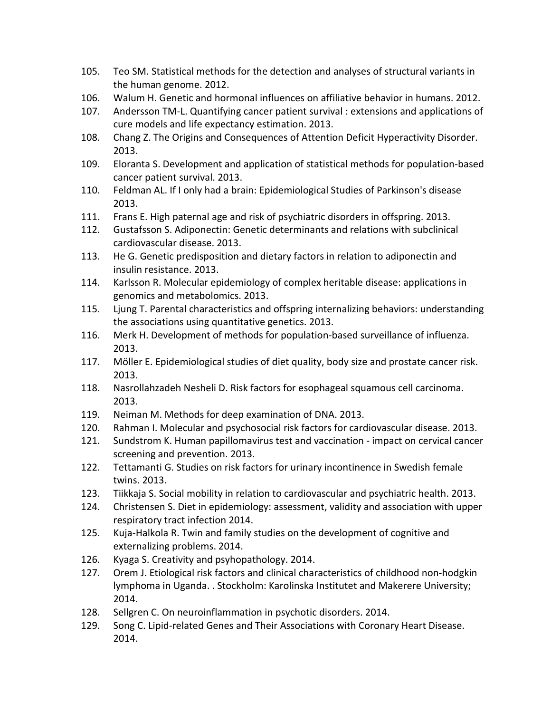- 105. Teo SM. Statistical methods for the detection and analyses of structural variants in the human genome. 2012.
- 106. Walum H. Genetic and hormonal influences on affiliative behavior in humans. 2012.
- 107. Andersson TM-L. Quantifying cancer patient survival : extensions and applications of cure models and life expectancy estimation. 2013.
- 108. Chang Z. The Origins and Consequences of Attention Deficit Hyperactivity Disorder. 2013.
- 109. Eloranta S. Development and application of statistical methods for population-based cancer patient survival. 2013.
- 110. Feldman AL. If I only had a brain: Epidemiological Studies of Parkinson's disease 2013.
- 111. Frans E. High paternal age and risk of psychiatric disorders in offspring. 2013.
- 112. Gustafsson S. Adiponectin: Genetic determinants and relations with subclinical cardiovascular disease. 2013.
- 113. He G. Genetic predisposition and dietary factors in relation to adiponectin and insulin resistance. 2013.
- 114. Karlsson R. Molecular epidemiology of complex heritable disease: applications in genomics and metabolomics. 2013.
- 115. Ljung T. Parental characteristics and offspring internalizing behaviors: understanding the associations using quantitative genetics. 2013.
- 116. Merk H. Development of methods for population-based surveillance of influenza. 2013.
- 117. Möller E. Epidemiological studies of diet quality, body size and prostate cancer risk. 2013.
- 118. Nasrollahzadeh Nesheli D. Risk factors for esophageal squamous cell carcinoma. 2013.
- 119. Neiman M. Methods for deep examination of DNA. 2013.
- 120. Rahman I. Molecular and psychosocial risk factors for cardiovascular disease. 2013.
- 121. Sundstrom K. Human papillomavirus test and vaccination impact on cervical cancer screening and prevention. 2013.
- 122. Tettamanti G. Studies on risk factors for urinary incontinence in Swedish female twins. 2013.
- 123. Tiikkaja S. Social mobility in relation to cardiovascular and psychiatric health. 2013.
- 124. Christensen S. Diet in epidemiology: assessment, validity and association with upper respiratory tract infection 2014.
- 125. Kuja-Halkola R. Twin and family studies on the development of cognitive and externalizing problems. 2014.
- 126. Kyaga S. Creativity and psyhopathology. 2014.
- 127. Orem J. Etiological risk factors and clinical characteristics of childhood non-hodgkin lymphoma in Uganda. . Stockholm: Karolinska Institutet and Makerere University; 2014.
- 128. Sellgren C. On neuroinflammation in psychotic disorders. 2014.
- 129. Song C. Lipid-related Genes and Their Associations with Coronary Heart Disease. 2014.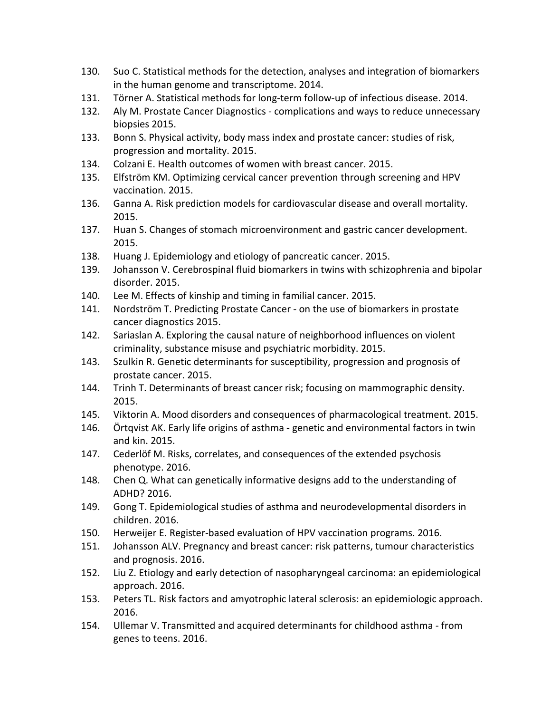- 130. Suo C. Statistical methods for the detection, analyses and integration of biomarkers in the human genome and transcriptome. 2014.
- 131. Törner A. Statistical methods for long-term follow-up of infectious disease. 2014.
- 132. Aly M. Prostate Cancer Diagnostics complications and ways to reduce unnecessary biopsies 2015.
- 133. Bonn S. Physical activity, body mass index and prostate cancer: studies of risk, progression and mortality. 2015.
- 134. Colzani E. Health outcomes of women with breast cancer. 2015.
- 135. Elfström KM. Optimizing cervical cancer prevention through screening and HPV vaccination. 2015.
- 136. Ganna A. Risk prediction models for cardiovascular disease and overall mortality. 2015.
- 137. Huan S. Changes of stomach microenvironment and gastric cancer development. 2015.
- 138. Huang J. Epidemiology and etiology of pancreatic cancer. 2015.
- 139. Johansson V. Cerebrospinal fluid biomarkers in twins with schizophrenia and bipolar disorder. 2015.
- 140. Lee M. Effects of kinship and timing in familial cancer. 2015.
- 141. Nordström T. Predicting Prostate Cancer on the use of biomarkers in prostate cancer diagnostics 2015.
- 142. Sariaslan A. Exploring the causal nature of neighborhood influences on violent criminality, substance misuse and psychiatric morbidity. 2015.
- 143. Szulkin R. Genetic determinants for susceptibility, progression and prognosis of prostate cancer. 2015.
- 144. Trinh T. Determinants of breast cancer risk; focusing on mammographic density. 2015.
- 145. Viktorin A. Mood disorders and consequences of pharmacological treatment. 2015.
- 146. Örtqvist AK. Early life origins of asthma genetic and environmental factors in twin and kin. 2015.
- 147. Cederlöf M. Risks, correlates, and consequences of the extended psychosis phenotype. 2016.
- 148. Chen Q. What can genetically informative designs add to the understanding of ADHD? 2016.
- 149. Gong T. Epidemiological studies of asthma and neurodevelopmental disorders in children. 2016.
- 150. Herweijer E. Register-based evaluation of HPV vaccination programs. 2016.
- 151. Johansson ALV. Pregnancy and breast cancer: risk patterns, tumour characteristics and prognosis. 2016.
- 152. Liu Z. Etiology and early detection of nasopharyngeal carcinoma: an epidemiological approach. 2016.
- 153. Peters TL. Risk factors and amyotrophic lateral sclerosis: an epidemiologic approach. 2016.
- 154. Ullemar V. Transmitted and acquired determinants for childhood asthma from genes to teens. 2016.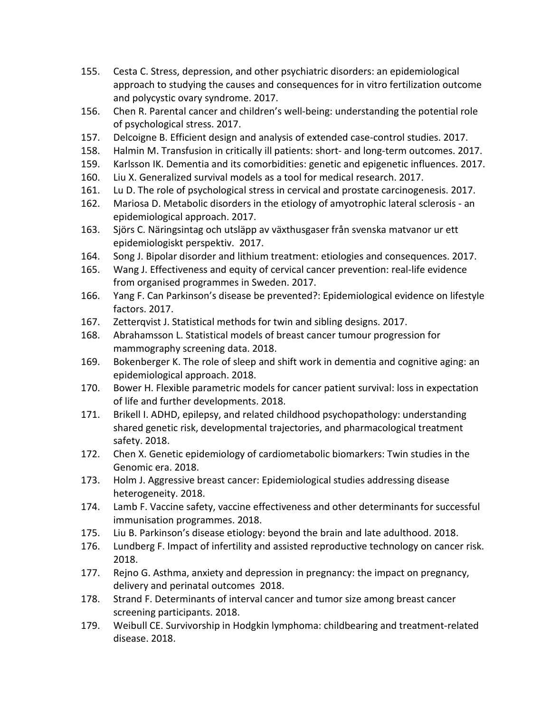- 155. Cesta C. Stress, depression, and other psychiatric disorders: an epidemiological approach to studying the causes and consequences for in vitro fertilization outcome and polycystic ovary syndrome. 2017.
- 156. Chen R. Parental cancer and children's well-being: understanding the potential role of psychological stress. 2017.
- 157. Delcoigne B. Efficient design and analysis of extended case-control studies. 2017.
- 158. Halmin M. Transfusion in critically ill patients: short- and long-term outcomes. 2017.
- 159. Karlsson IK. Dementia and its comorbidities: genetic and epigenetic influences. 2017.
- 160. Liu X. Generalized survival models as a tool for medical research. 2017.
- 161. Lu D. The role of psychological stress in cervical and prostate carcinogenesis. 2017.
- 162. Mariosa D. Metabolic disorders in the etiology of amyotrophic lateral sclerosis an epidemiological approach. 2017.
- 163. Sjörs C. Näringsintag och utsläpp av växthusgaser från svenska matvanor ur ett epidemiologiskt perspektiv. 2017.
- 164. Song J. Bipolar disorder and lithium treatment: etiologies and consequences. 2017.
- 165. Wang J. Effectiveness and equity of cervical cancer prevention: real-life evidence from organised programmes in Sweden. 2017.
- 166. Yang F. Can Parkinson's disease be prevented?: Epidemiological evidence on lifestyle factors. 2017.
- 167. Zetterqvist J. Statistical methods for twin and sibling designs. 2017.
- 168. Abrahamsson L. Statistical models of breast cancer tumour progression for mammography screening data. 2018.
- 169. Bokenberger K. The role of sleep and shift work in dementia and cognitive aging: an epidemiological approach. 2018.
- 170. Bower H. Flexible parametric models for cancer patient survival: loss in expectation of life and further developments. 2018.
- 171. Brikell I. ADHD, epilepsy, and related childhood psychopathology: understanding shared genetic risk, developmental trajectories, and pharmacological treatment safety. 2018.
- 172. Chen X. Genetic epidemiology of cardiometabolic biomarkers: Twin studies in the Genomic era. 2018.
- 173. Holm J. Aggressive breast cancer: Epidemiological studies addressing disease heterogeneity. 2018.
- 174. Lamb F. Vaccine safety, vaccine effectiveness and other determinants for successful immunisation programmes. 2018.
- 175. Liu B. Parkinson's disease etiology: beyond the brain and late adulthood. 2018.
- 176. Lundberg F. Impact of infertility and assisted reproductive technology on cancer risk. 2018.
- 177. Rejno G. Asthma, anxiety and depression in pregnancy: the impact on pregnancy, delivery and perinatal outcomes 2018.
- 178. Strand F. Determinants of interval cancer and tumor size among breast cancer screening participants. 2018.
- 179. Weibull CE. Survivorship in Hodgkin lymphoma: childbearing and treatment-related disease. 2018.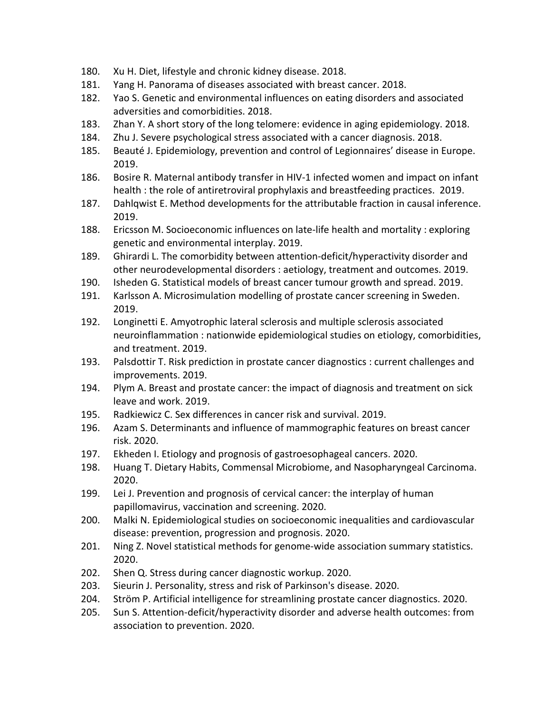- 180. Xu H. Diet, lifestyle and chronic kidney disease. 2018.
- 181. Yang H. Panorama of diseases associated with breast cancer. 2018.
- 182. Yao S. Genetic and environmental influences on eating disorders and associated adversities and comorbidities. 2018.
- 183. Zhan Y. A short story of the long telomere: evidence in aging epidemiology. 2018.
- 184. Zhu J. Severe psychological stress associated with a cancer diagnosis. 2018.
- 185. Beauté J. Epidemiology, prevention and control of Legionnaires' disease in Europe. 2019.
- 186. Bosire R. Maternal antibody transfer in HIV-1 infected women and impact on infant health : the role of antiretroviral prophylaxis and breastfeeding practices. 2019.
- 187. Dahlqwist E. Method developments for the attributable fraction in causal inference. 2019.
- 188. Ericsson M. Socioeconomic influences on late-life health and mortality : exploring genetic and environmental interplay. 2019.
- 189. Ghirardi L. The comorbidity between attention-deficit/hyperactivity disorder and other neurodevelopmental disorders : aetiology, treatment and outcomes. 2019.
- 190. Isheden G. Statistical models of breast cancer tumour growth and spread. 2019.
- 191. Karlsson A. Microsimulation modelling of prostate cancer screening in Sweden. 2019.
- 192. Longinetti E. Amyotrophic lateral sclerosis and multiple sclerosis associated neuroinflammation : nationwide epidemiological studies on etiology, comorbidities, and treatment. 2019.
- 193. Palsdottir T. Risk prediction in prostate cancer diagnostics : current challenges and improvements. 2019.
- 194. Plym A. Breast and prostate cancer: the impact of diagnosis and treatment on sick leave and work. 2019.
- 195. Radkiewicz C. Sex differences in cancer risk and survival. 2019.
- 196. Azam S. Determinants and influence of mammographic features on breast cancer risk. 2020.
- 197. Ekheden I. Etiology and prognosis of gastroesophageal cancers. 2020.
- 198. Huang T. Dietary Habits, Commensal Microbiome, and Nasopharyngeal Carcinoma. 2020.
- 199. Lei J. Prevention and prognosis of cervical cancer: the interplay of human papillomavirus, vaccination and screening. 2020.
- 200. Malki N. Epidemiological studies on socioeconomic inequalities and cardiovascular disease: prevention, progression and prognosis. 2020.
- 201. Ning Z. Novel statistical methods for genome-wide association summary statistics. 2020.
- 202. Shen Q. Stress during cancer diagnostic workup. 2020.
- 203. Sieurin J. Personality, stress and risk of Parkinson's disease. 2020.
- 204. Ström P. Artificial intelligence for streamlining prostate cancer diagnostics. 2020.
- 205. Sun S. Attention-deficit/hyperactivity disorder and adverse health outcomes: from association to prevention. 2020.